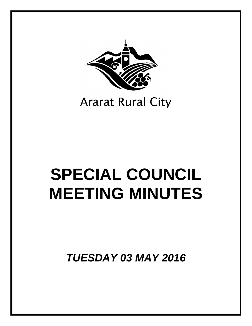

# **Ararat Rural City**

# **SPECIAL COUNCIL MEETING MINUTES**

*TUESDAY 03 MAY 2016*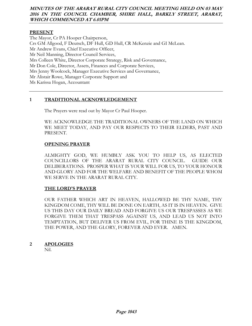# **MINUTES OF THE ARARAT RURAL CITY COUNCIL MEETING HELD ON 03 MAY 2016 IN THE COUNCIL CHAMBER, SHIRE HALL, BARKLY STREET, ARARAT, WHICH COMMENCED AT 6.01PM**

### **PRESENT**

The Mayor, Cr PA Hooper Chairperson, Crs GM Allgood, F Deutsch, DF Hull, GD Hull, CR McKenzie and GI McLean. Mr Andrew Evans, Chief Executive Officer, Mr Neil Manning, Director Council Services, Mrs Colleen White, Director Corporate Strategy, Risk and Governance, Mr Don Cole, Director, Assets, Finances and Corporate Services, Mrs Jenny Woolcock, Manager Executive Services and Governance, Mr Alistair Rowe, Manager Corporate Support and Ms Karissa Hogan, Accountant

# **1 TRADITIONAL ACKNOWLEDGEMENT**

The Prayers were read out by Mayor Cr Paul Hooper.

WE ACKNOWLEDGE THE TRADITIONAL OWNERS OF THE LAND ON WHICH WE MEET TODAY, AND PAY OUR RESPECTS TO THEIR ELDERS, PAST AND PRESENT.

#### **OPENING PRAYER**

 ALMIGHTY GOD, WE HUMBLY ASK YOU TO HELP US, AS ELECTED COUNCILLORS OF THE ARARAT RURAL CITY COUNCIL. GUIDE OUR DELIBERATIONS. PROSPER WHAT IS YOUR WILL FOR US, TO YOUR HONOUR AND GLORY AND FOR THE WELFARE AND BENEFIT OF THE PEOPLE WHOM WE SERVE IN THE ARARAT RURAL CITY.

#### **THE LORD'S PRAYER**

 OUR FATHER WHICH ART IN HEAVEN, HALLOWED BE THY NAME, THY KINGDOM COME, THY WILL BE DONE ON EARTH, AS IT IS IN HEAVEN. GIVE US THIS DAY OUR DAILY BREAD AND FORGIVE US OUR TRESPASSES AS WE FORGIVE THEM THAT TRESPASS AGAINST US, AND LEAD US NOT INTO TEMPTATION, BUT DELIVER US FROM EVIL, FOR THINE IS THE KINGDOM, THE POWER, AND THE GLORY, FOREVER AND EVER. AMEN.

**2 APOLOGIES** 

Nil.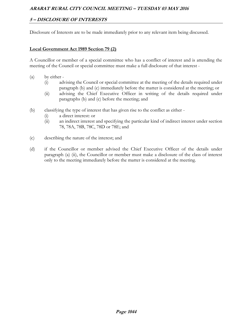# **5 – DISCLOSURE OF INTERESTS**

Disclosure of Interests are to be made immediately prior to any relevant item being discussed.

#### **Local Government Act 1989 Section 79 (2)**

A Councillor or member of a special committee who has a conflict of interest and is attending the meeting of the Council or special committee must make a full disclosure of that interest -

- (a) by either
	- (i) advising the Council or special committee at the meeting of the details required under paragraph (b) and (c) immediately before the matter is considered at the meeting; or
	- (ii) advising the Chief Executive Officer in writing of the details required under paragraphs (b) and (c) before the meeting; and
- (b) classifying the type of interest that has given rise to the conflict as either
	- (i) a direct interest: or
	- (ii) an indirect interest and specifying the particular kind of indirect interest under section 78, 78A, 78B, 78C, 78D or 78E; and
- (c) describing the nature of the interest; and
- (d) if the Councillor or member advised the Chief Executive Officer of the details under paragraph (a) (ii), the Councillor or member must make a disclosure of the class of interest only to the meeting immediately before the matter is considered at the meeting.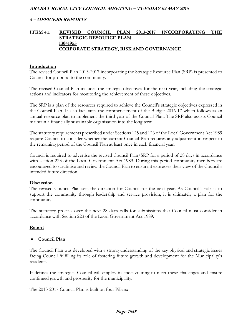# **ITEM 4.1 REVISED COUNCIL PLAN 2013-2017 INCORPORATING THE STRATEGIC RESOURCE PLAN 13041955 CORPORATE STRATEGY, RISK AND GOVERNANCE**

#### **Introduction**

The revised Council Plan 2013-2017 incorporating the Strategic Resource Plan (SRP) is presented to Council for proposal to the community.

The revised Council Plan includes the strategic objectives for the next year, including the strategic actions and indicators for monitoring the achievement of these objectives.

The SRP is a plan of the resources required to achieve the Council's strategic objectives expressed in the Council Plan. It also facilitates the commencement of the Budget 2016-17 which follows as an annual resource plan to implement the third year of the Council Plan. The SRP also assists Council maintain a financially sustainable organisation into the long term.

The statutory requirements prescribed under Sections 125 and 126 of the Local Government Act 1989 require Council to consider whether the current Council Plan requires any adjustment in respect to the remaining period of the Council Plan at least once in each financial year.

Council is required to advertise the revised Council Plan/SRP for a period of 28 days in accordance with section 223 of the Local Government Act 1989. During this period community members are encouraged to scrutinise and review the Council Plan to ensure it expresses their view of the Council's intended future direction.

#### **Discussion**

The revised Council Plan sets the direction for Council for the next year. As Council's role is to support the community through leadership and service provision, it is ultimately a plan for the community.

The statutory process over the next 28 days calls for submissions that Council must consider in accordance with Section 223 of the Local Government Act 1989.

# **Report**

# **Council Plan**

The Council Plan was developed with a strong understanding of the key physical and strategic issues facing Council fulfilling its role of fostering future growth and development for the Municipality's residents.

It defines the strategies Council will employ in endeavouring to meet these challenges and ensure continued growth and prosperity for the municipality.

The 2013-2017 Council Plan is built on four Pillars: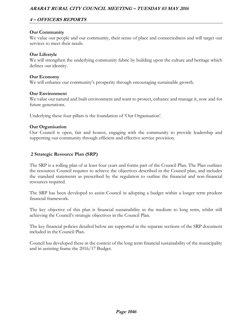# **4 – OFFICERS REPORTS**

# **Our Community**

We value our people and our community, their sense of place and connectedness and will target our services to meet their needs.

# **Our Lifestyle**

We will strengthen the underlying community fabric by building upon the culture and heritage which defines our identity.

#### **Our Economy**

We will enhance our community's prosperity through encouraging sustainable growth.

#### **Our Environment**

We value our natural and built environment and want to protect, enhance and manage it, now and for future generations.

Underlying these four pillars is the foundation of 'Our Organisation'.

#### **Our Organisation**

Our Council is open, fair and honest, engaging with the community to provide leadership and supporting our community through efficient and effective service provision.

# **2 Strategic Resource Plan (SRP)**

The SRP is a rolling plan of at least four years and forms part of the Council Plan. The Plan outlines the resources Council requires to achieve the objectives described in the Council plan, and includes the standard statements as prescribed by the regulation to outline the financial and non-financial resources required.

The SRP has been developed to assist Council in adopting a budget within a longer term prudent financial framework.

The key objective of this plan is financial sustainability in the medium to long term, whilst still achieving the Council's strategic objectives in the Council Plan.

The key financial policies detailed below are supported in the separate sections of the SRP document included in the Council Plan.

Council has developed these in the context of the long term financial sustainability of the municipality and in assisting frame the 2016/17 Budget.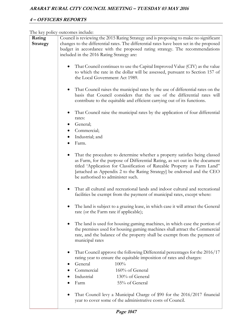# **4 – OFFICERS REPORTS**

The key policy outcomes include:

| Rating   | Council is reviewing the 2015 Rating Strategy and is proposing to make no significant   |
|----------|-----------------------------------------------------------------------------------------|
|          |                                                                                         |
| Strategy | changes to the differential rates. The differential rates have been set in the proposed |
|          | budget in accordance with the proposed rating strategy. The recommendations             |
|          | included in the 2016 Rating Strategy are:                                               |
|          |                                                                                         |
|          | That Council continues to use the Capital Improved Value (CIV) as the value             |
|          | to which the rate in the dollar will be assessed, pursuant to Section 157 of            |
|          |                                                                                         |
|          | the Local Government Act 1989.                                                          |
|          |                                                                                         |
|          | That Council raises the municipal rates by the use of differential rates on the         |
|          | basis that Council considers that the use of the differential rates will                |
|          | contribute to the equitable and efficient carrying out of its functions.                |
|          |                                                                                         |
|          |                                                                                         |
|          | That Council raise the municipal rates by the application of four differential          |
|          | rates:                                                                                  |
|          | General;                                                                                |
|          | Commercial;                                                                             |
|          |                                                                                         |
|          | Industrial; and                                                                         |
|          | Farm.                                                                                   |
|          |                                                                                         |
|          | That the procedure to determine whether a property satisfies being classed              |
|          | as Farm, for the purpose of Differential Rating, as set out in the document             |
|          | titled 'Application for Classification of Rateable Property as Farm Land"               |
|          |                                                                                         |
|          | [attached as Appendix 2 to the Rating Strategy] be endorsed and the CEO                 |
|          | be authorised to administer such.                                                       |
|          |                                                                                         |
|          | That all cultural and recreational lands and indoor cultural and recreational           |
|          | facilities be exempt from the payment of municipal rates, except where:                 |
|          |                                                                                         |
|          |                                                                                         |
|          | The land is subject to a grazing lease, in which case it will attract the General       |
|          | rate (or the Farm rate if applicable);                                                  |
|          |                                                                                         |
|          | The land is used for housing gaming machines, in which case the portion of              |
|          | the premises used for housing gaming machines shall attract the Commercial              |
|          | rate, and the balance of the property shall be exempt from the payment of               |
|          | municipal rates                                                                         |
|          |                                                                                         |
|          |                                                                                         |
|          | That Council approve the following Differential percentages for the 2016/17             |
|          | rating year to ensure the equitable imposition of rates and charges:                    |
|          | General<br>100%                                                                         |
|          | Commercial<br>160% of General                                                           |
|          |                                                                                         |
|          | Industrial<br>130% of General                                                           |
|          | 55% of General<br>Farm                                                                  |
|          |                                                                                         |
|          | That Council levy a Municipal Charge of \$90 for the 2016/2017 financial                |
|          | year to cover some of the administrative costs of Council.                              |
|          |                                                                                         |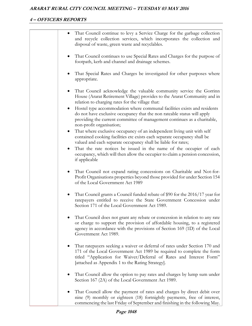# **4 – OFFICERS REPORTS**

|           | That Council continue to levy a Service Charge for the garbage collection<br>and recycle collection services, which incorporates the collection and<br>disposal of waste, green waste and recyclables.                                                                          |
|-----------|---------------------------------------------------------------------------------------------------------------------------------------------------------------------------------------------------------------------------------------------------------------------------------|
|           | That Council continues to use Special Rates and Charges for the purpose of<br>footpath, kerb and channel and drainage schemes.                                                                                                                                                  |
|           | That Special Rates and Charges be investigated for other purposes where<br>appropriate.                                                                                                                                                                                         |
|           | That Council acknowledge the valuable community service the Gorrinn<br>House (Ararat Retirement Village) provides to the Ararat Community and in<br>relation to charging rates for the village that:                                                                            |
|           | Hostel type accommodation where communal facilities exists and residents<br>do not have exclusive occupancy that the non rateable status will apply<br>providing the current committee of management continues as a charitable,<br>non-profit organisation;                     |
| $\bullet$ | That where exclusive occupancy of an independent living unit with self<br>contained cooking facilities etc exists each separate occupancy shall be<br>valued and each separate occupancy shall be liable for rates;                                                             |
| $\bullet$ | That the rate notices be issued in the name of the occupier of each<br>occupancy, which will then allow the occupier to claim a pension concession,<br>if applicable                                                                                                            |
|           | That Council not expand rating concessions on Charitable and Not-for-<br>Profit Organisations properties beyond those provided for under Section 154<br>of the Local Government Act 1989                                                                                        |
|           | That Council grants a Council funded rebate of \$90 for the 2016/17 year for<br>ratepayers entitled to receive the State Government Concession under<br>Section 171 of the Local Government Act 1989.                                                                           |
|           | That Council does not grant any rebate or concession in relation to any rate<br>or charge to support the provision of affordable housing, to a registered<br>agency in accordance with the provisions of Section 169 (1D) of the Local<br>Government Act 1989.                  |
|           | That ratepayers seeking a waiver or deferral of rates under Section 170 and<br>171 of the Local Government Act 1989 be required to complete the form<br>titled "Application for Waiver/Deferral of Rates and Interest Form"<br>[attached as Appendix 1 to the Rating Strategy]. |
|           | That Council allow the option to pay rates and charges by lump sum under<br>Section 167 (2A) of the Local Government Act 1989.                                                                                                                                                  |
|           | That Council allow the payment of rates and charges by direct debit over<br>nine (9) monthly or eighteen (18) fortnightly payments, free of interest,<br>commencing the last Friday of September and finishing in the following May.                                            |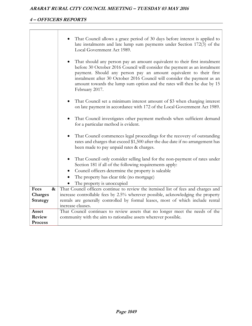# **4 – OFFICERS REPORTS**

|                                      | That Council allows a grace period of 30 days before interest is applied to<br>late instalments and late lump sum payments under Section 172(3) of the<br>Local Government Act 1989.                                                                                                                                                                                                                  |
|--------------------------------------|-------------------------------------------------------------------------------------------------------------------------------------------------------------------------------------------------------------------------------------------------------------------------------------------------------------------------------------------------------------------------------------------------------|
|                                      | That should any person pay an amount equivalent to their first instalment<br>before 30 October 2016 Council will consider the payment as an instalment<br>payment. Should any person pay an amount equivalent to their first<br>instalment after 30 October 2016 Council will consider the payment as an<br>amount towards the lump sum option and the rates will then be due by 15<br>February 2017. |
|                                      | That Council set a minimum interest amount of \$3 when charging interest<br>on late payment in accordance with 172 of the Local Government Act 1989.                                                                                                                                                                                                                                                  |
|                                      | That Council investigates other payment methods when sufficient demand<br>for a particular method is evident.                                                                                                                                                                                                                                                                                         |
|                                      | That Council commences legal proceedings for the recovery of outstanding<br>$\bullet$<br>rates and charges that exceed \$1,500 after the due date if no arrangement has<br>been made to pay unpaid rates & charges.                                                                                                                                                                                   |
|                                      | That Council only consider selling land for the non-payment of rates under<br>Section 181 if all of the following requirements apply:<br>Council officers determine the property is saleable                                                                                                                                                                                                          |
|                                      | The property has clear title (no mortgage)                                                                                                                                                                                                                                                                                                                                                            |
|                                      | The property is unoccupied                                                                                                                                                                                                                                                                                                                                                                            |
| Fees<br>$\boldsymbol{\&}$<br>Charges | That Council officers continue to review the itemised list of fees and charges and<br>increase controllable fees by 2.5% wherever possible, acknowledging the property                                                                                                                                                                                                                                |
| Strategy                             | rentals are generally controlled by formal leases, most of which include rental                                                                                                                                                                                                                                                                                                                       |
|                                      | increase clauses.                                                                                                                                                                                                                                                                                                                                                                                     |
| Asset                                | That Council continues to review assets that no longer meet the needs of the                                                                                                                                                                                                                                                                                                                          |
| Review                               | community with the aim to rationalise assets wherever possible.                                                                                                                                                                                                                                                                                                                                       |
| <b>Process</b>                       |                                                                                                                                                                                                                                                                                                                                                                                                       |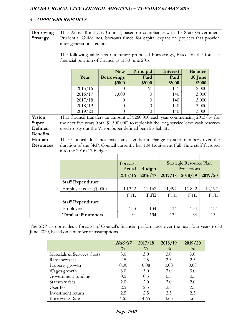# **4 – OFFICERS REPORTS**

| <b>Borrowing</b><br><b>Strategy</b> | That Ararat Rural City Council, based on compliance with the State Government<br>Prudential Guidelines, borrows funds for capital expansion projects that provide<br>inter-generational equity. |                                                                                           |                                      |                      |                             |                            |                           |            |
|-------------------------------------|-------------------------------------------------------------------------------------------------------------------------------------------------------------------------------------------------|-------------------------------------------------------------------------------------------|--------------------------------------|----------------------|-----------------------------|----------------------------|---------------------------|------------|
|                                     | The following table sets out future proposed borrowings, based on the forecast<br>financial position of Council as at 30 June 2016.                                                             |                                                                                           |                                      |                      |                             |                            |                           |            |
|                                     | <b>Borrowings</b><br>Year                                                                                                                                                                       |                                                                                           |                                      | <b>New</b><br>\$'000 | Principal<br>Paid<br>\$'000 | Interest<br>Paid<br>\$'000 | <b>Balance</b><br>30 June | \$'000     |
|                                     |                                                                                                                                                                                                 | 2015/16                                                                                   |                                      | 0                    | 61                          | 141                        |                           | 2,000      |
|                                     |                                                                                                                                                                                                 | 2016/17                                                                                   |                                      | 1,000                | $\theta$                    | 140                        |                           | 3,000      |
|                                     |                                                                                                                                                                                                 | 2017/18                                                                                   |                                      | $\overline{0}$       | $\overline{0}$              | 140                        |                           | 3,000      |
|                                     |                                                                                                                                                                                                 | 2018/19                                                                                   |                                      | $\overline{0}$       | $\overline{0}$              | 140                        |                           | 3,000      |
|                                     |                                                                                                                                                                                                 | 2019/20                                                                                   | $\theta$<br>$\Omega$<br>140<br>3,000 |                      |                             |                            |                           |            |
| <b>Vision</b>                       | That Council transfers an amount of \$260,000 each year commencing 2013/14 for                                                                                                                  |                                                                                           |                                      |                      |                             |                            |                           |            |
| Super                               |                                                                                                                                                                                                 | the next five years (total \$1,300,000) to replenish the long service leave cash reserves |                                      |                      |                             |                            |                           |            |
| Defined                             | used to pay out the Vision Super defined benefits liability.                                                                                                                                    |                                                                                           |                                      |                      |                             |                            |                           |            |
| <b>Benefits</b>                     |                                                                                                                                                                                                 |                                                                                           |                                      |                      |                             |                            |                           |            |
| Human<br><b>Resources</b>           | That Council does not make any significant change in staff numbers over the                                                                                                                     |                                                                                           |                                      |                      |                             |                            |                           |            |
|                                     | duration of the SRP. Council currently has 134 Equivalent Full Time staff factored                                                                                                              |                                                                                           |                                      |                      |                             |                            |                           |            |
|                                     | into the 2016/17 budget.                                                                                                                                                                        |                                                                                           |                                      |                      |                             |                            |                           |            |
|                                     | Strategic Resource Plan<br>Forecast                                                                                                                                                             |                                                                                           |                                      |                      |                             |                            |                           |            |
|                                     | <b>Budget</b><br>Projections<br>Actual                                                                                                                                                          |                                                                                           |                                      |                      |                             |                            |                           |            |
|                                     |                                                                                                                                                                                                 |                                                                                           |                                      | 2015/16              | 2016/17                     | 2017/18                    | 2018/19                   | 2019/20    |
|                                     |                                                                                                                                                                                                 | <b>Staff Expenditure</b>                                                                  |                                      |                      |                             |                            |                           |            |
|                                     |                                                                                                                                                                                                 | Employee costs (\$,000)                                                                   |                                      | 10,342               | 11,162                      | 11,497                     | 11,842                    | 12,197     |
|                                     |                                                                                                                                                                                                 |                                                                                           |                                      | <b>FTE</b>           | <b>FTE</b>                  | <b>FTE</b>                 | <b>FTE</b>                | <b>FTE</b> |
|                                     |                                                                                                                                                                                                 | <b>Staff Expenditure</b>                                                                  |                                      |                      |                             |                            |                           |            |
|                                     |                                                                                                                                                                                                 |                                                                                           |                                      | 133                  | 134                         | 134                        | 134                       | 134        |
|                                     |                                                                                                                                                                                                 | Employees                                                                                 |                                      |                      |                             |                            |                           |            |
|                                     |                                                                                                                                                                                                 | <b>Total staff numbers</b>                                                                |                                      | 134                  | 134                         | 134                        | 134                       | 134        |

The SRP also provides a forecast of Council's financial performance over the next four years to 30 June 2020, based on a number of assumptions.

|                            | 2016/17       | 2017/18       | 2018/19       | 2019/20       |
|----------------------------|---------------|---------------|---------------|---------------|
|                            | $\frac{0}{0}$ | $\frac{0}{0}$ | $\frac{0}{0}$ | $\frac{0}{0}$ |
| Materials & Services Costs | 3.0           | 3.0           | 3.0           | 3.0           |
| Rate increases             | 2.5           | 2.5           | 2.5           | 2.5           |
| Property growth            | 0.08          | 0.08          | 0.08          | 0.08          |
| Wages growth               | 3.0           | 3.0           | 3.0           | 3.0           |
| Government funding         | 0.5           | 0.5           | 0.5           | 0.5           |
| Statutory fees             | 2.0           | 2.0           | 2.0           | 2.0           |
| User fees                  | 2.5           | 2.5           | 2.5           | 2.5           |
| Investment return          | 2.5           | 2.5           | 2.5           | 2.5           |
| Borrowing Rate             | 4.65          | 4.65          | 4.65          | 4.65          |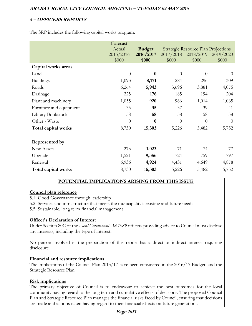The SRP includes the following capital works program:

|                         | Forecast<br>Actual | <b>Budget</b>      |                    | <b>Strategic Resource Plan Projections</b> |                    |
|-------------------------|--------------------|--------------------|--------------------|--------------------------------------------|--------------------|
|                         | 2015/2016<br>\$000 | 2016/2017<br>\$000 | 2017/2018<br>\$000 | 2018/2019<br>\$000                         | 2019/2020<br>\$000 |
| Capital works areas     |                    |                    |                    |                                            |                    |
| Land                    | $\theta$           | $\bf{0}$           | $\overline{0}$     | $\theta$                                   | $\theta$           |
| <b>Buildings</b>        | 1,093              | 8,171              | 284                | 296                                        | 309                |
| Roads                   | 6,264              | 5,943              | 3,696              | 3,881                                      | 4,075              |
| Drainage                | 225                | 176                | 185                | 194                                        | 204                |
| Plant and machinery     | 1,055              | 920                | 966                | 1,014                                      | 1,065              |
| Furniture and equipment | 35                 | 35                 | 37                 | 39                                         | 41                 |
| Library Bookstock       | 58                 | 58                 | 58                 | 58                                         | 58                 |
| Other - Waste           | $\theta$           | $\bf{0}$           | $\theta$           | $\theta$                                   | $\overline{0}$     |
| Total capital works     | 8,730              | 15,303             | 5,226              | 5,482                                      | 5,752              |
| Represented by          |                    |                    |                    |                                            |                    |
| New Assets              | 273                | 1,023              | 71                 | 74                                         | 77                 |
| Upgrade                 | 1,521              | 9,356              | 724                | 759                                        | 797                |
| Renewal                 | 6,936              | 4,924              | 4,431              | 4,649                                      | 4,878              |
| Total capital works     | 8,730              | 15,303             | 5,226              | 5,482                                      | 5,752              |

# **POTENTIAL IMPLICATIONS ARISING FROM THIS ISSUE**

# **Council plan reference**

5.1 Good Governance through leadership

5.2 Services and infrastructure that meets the municipality's existing and future needs

5.5 Sustainable, long term financial management

# **Officer's Declaration of Interest**

Under Section 80C of the *Local Government Act 1989* officers providing advice to Council must disclose any interests, including the type of interest.

No person involved in the preparation of this report has a direct or indirect interest requiring disclosure.

# **Financial and resource implications**

The implications of the Council Plan 2013/17 have been considered in the 2016/17 Budget, and the Strategic Resource Plan.

# **Risk implications**

The primary objective of Council is to endeavour to achieve the best outcomes for the local community having regard to the long term and cumulative effects of decisions. The proposed Council Plan and Strategic Resource Plan manages the financial risks faced by Council, ensuring that decisions are made and actions taken having regard to their financial effects on future generations.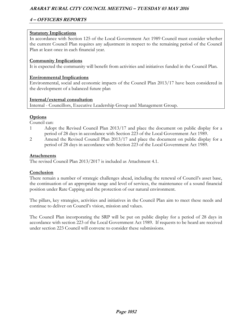# **4 – OFFICERS REPORTS**

# **Statutory Implications**

In accordance with Section 125 of the Local Government Act 1989 Council must consider whether the current Council Plan requires any adjustment in respect to the remaining period of the Council Plan at least once in each financial year.

# **Community Implications**

It is expected the community will benefit from activities and initiatives funded in the Council Plan.

# **Environmental Implications**

Environmental, social and economic impacts of the Council Plan 2013/17 have been considered in the development of a balanced future plan

# **Internal/external consultation**

Internal - Councillors, Executive Leadership Group and Management Group.

# **Options**

Council can:

- 1 Adopt the Revised Council Plan 2013/17 and place the document on public display for a period of 28 days in accordance with Section 223 of the Local Government Act 1989.
- 2 Amend the Revised Council Plan 2013/17 and place the document on public display for a period of 28 days in accordance with Section 223 of the Local Government Act 1989.

# **Attachments**

The revised Council Plan 2013/2017 is included as Attachment 4.1.

# **Conclusion**

There remain a number of strategic challenges ahead, including the renewal of Council's asset base, the continuation of an appropriate range and level of services, the maintenance of a sound financial position under Rate Capping and the protection of our natural environment.

The pillars, key strategies, activities and initiatives in the Council Plan aim to meet these needs and continue to deliver on Council's vision, mission and values.

The Council Plan incorporating the SRP will be put on public display for a period of 28 days in accordance with section 223 of the Local Government Act 1989. If requests to be heard are received under section 223 Council will convene to consider these submissions.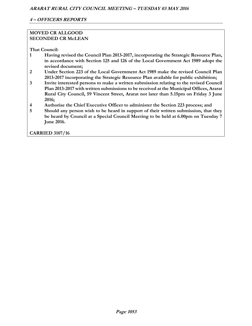# **MOVED CR ALLGOOD SECONDED CR McLEAN**

**That Council:** 

- **1 Having revised the Council Plan 2013-2017, incorporating the Strategic Resource Plan, in accordance with Section 125 and 126 of the Local Government Act 1989 adopt the revised document;**
- **2 Under Section 223 of the Local Government Act 1989 make the revised Council Plan 2013-2017 incorporating the Strategic Resource Plan available for public exhibition;**
- **3 Invite interested persons to make a written submission relating to the revised Council Plan 2013-2017 with written submissions to be received at the Municipal Offices, Ararat Rural City Council, 59 Vincent Street, Ararat not later than 5.15pm on Friday 3 June 2016;**
- **4 Authorise the Chief Executive Officer to administer the Section 223 process; and**
- **5 Should any person wish to be heard in support of their written submission, that they be heard by Council at a Special Council Meeting to be held at 6.00pm on Tuesday 7 June 2016.**

**CARRIED 3107/16**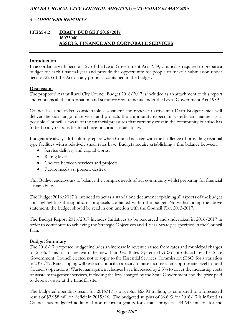# **ITEM 4.2 DRAFT BUDGET 2016/2017 16073040 ASSETS, FINANCE AND CORPORATE SERVICES**

#### **Introduction**

In accordance with Section 127 of the Local Government Act 1989, Council is required to prepare a budget for each financial year and provide the opportunity for people to make a submission under Section 223 of the Act on any proposal contained in the budget.

#### **Discussion**

The proposed Ararat Rural City Council Budget 2016/2017 is included as an attachment to this report and contains all the information and statutory requirements under the Local Government Act 1989.

Council has undertaken considerable assessment and review to arrive at a Draft Budget which will deliver the vast range of services and projects the community expects in as efficient manner as is possible. Council is aware of the financial pressures that currently exist in the community but also has to be fiscally responsible to achieve financial sustainability.

Budgets are always difficult to prepare when Council is faced with the challenge of providing regional type facilities with a relatively small rates base. Budgets require establishing a fine balance between:

- Service delivery and capital works.
- Rating levels
- Choices between services and projects.
- Future needs vs. present desires.

This Budget endeavours to balance the complex needs of our community whilst preparing for financial sustainability.

The Budget 2016/2017 is intended to act as a standalone document explaining all aspects of the budget and highlighting the significant proposals contained within the budget. Notwithstanding the above statement, the budget should be read in conjunction with the Council Plan 2013-2017.

The Budget Report 2016/2017 includes Initiatives to be resourced and undertaken in 2016/2017 in order to contribute to achieving the Strategic Objectives and 4 Year Strategies specified in the Council Plan.

#### **Budget Summary**

The 2016/17 proposed budget includes an increase in revenue raised from rates and municipal charges of 2.5%. This is in line with the new Fair Go Rates System (FGRS) introduced by the State Government. Council elected not to apply to the Essential Services Commission (ESC) for a variation in 2016/17. Rate capping will restrict Council's capacity to raise income at an appropriate level to fund Council's operations. Waste management charges have increased by 2.5% to cover the increasing costs of waste management services, including the levy charged by the State Government and the price paid to deposit waste at the Landfill site.

The budgeted operating result for 2016/17 is a surplus \$6.693 million, as compared to a forecasted result of \$2.958 million deficit in 2015/16. The budgeted surplus of \$6.693 for 2016/17 is inflated as Council has budgeted additional non-recurrent grants for capital projects - \$4.645 million for the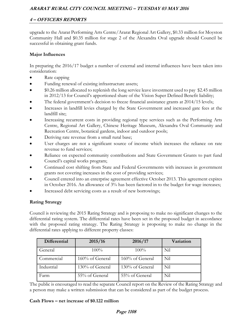upgrade to the Ararat Performing Arts Centre/Ararat Regional Art Gallery, \$0.33 million for Moyston Community Hall and \$0.35 million for stage 2 of the Alexandra Oval upgrade should Council be successful in obtaining grant funds.

# **Major Influences**

In preparing the 2016/17 budget a number of external and internal influences have been taken into consideration:

- Rate capping
- Funding renewal of existing infrastructure assets;
- \$0.26 million allocated to replenish the long service leave investment used to pay \$2.45 million in 2012/13 for Council's apportioned share of the Vision Super Defined Benefit liability;
- The federal government's decision to freeze financial assistance grants at 2014/15 levels;
- Increases in landfill levies charged by the State Government and increased gate fees at the landfill site;
- Increasing recurrent costs in providing regional type services such as the Performing Arts Centre, Regional Art Gallery, Chinese Heritage Museum, Alexandra Oval Community and Recreation Centre, botanical gardens, indoor and outdoor pools;
- Deriving rate revenue from a small rural base;
- User charges are not a significant source of income which increases the reliance on rate revenue to fund services;
- Reliance on expected community contributions and State Government Grants to part fund Council's capital works program;
- Continued cost shifting from State and Federal Governments with increases in government grants not covering increases in the cost of providing services;
- Council entered into an enterprise agreement effective October 2013. This agreement expires in October 2016. An allowance of 3% has been factored in to the budget for wage increases;
- Increased debt servicing costs as a result of new borrowings;

# **Rating Strategy**

Council is reviewing the 2015 Rating Strategy and is proposing to make no significant changes to the differential rating system. The differential rates have been set in the proposed budget in accordance with the proposed rating strategy. The Rating Strategy is proposing to make no change in the differential rates applying to different property classes:

| Differential | 2015/16         | 2016/17         | Variation |
|--------------|-----------------|-----------------|-----------|
| General      | 100%            | 100%            | Nil       |
| Commercial   | 160% of General | 160% of General | Nil       |
| Industrial   | 130% of General | 130% of General | Nil       |
| Farm         | 55% of General  | 55% of General  | Nil       |

The public is encouraged to read the separate Council report on the Review of the Rating Strategy and a person may make a written submission that can be considered as part of the budget process.

# **Cash Flows – net increase of \$0.122 million**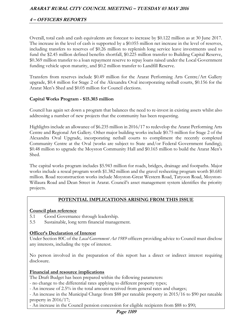Overall, total cash and cash equivalents are forecast to increase by \$0.122 million as at 30 June 2017. The increase in the level of cash is supported by a \$0.055 million net increase in the level of reserves, including transfers to reserves of \$0.26 million to replenish long service leave investments used to fund the \$2.45 million defined benefits shortfall, \$0.225 million transfer to Building Capital Reserve, \$0.369 million transfer to a loan repayment reserve to repay loans raised under the Local Government funding vehicle upon maturity, and \$0.2 million transfer to Landfill Reserve.

Transfers from reserves include \$0.49 million for the Ararat Performing Arts Centre/Art Gallery upgrade, \$0.4 million for Stage 2 of the Alexandra Oval incorporating netball courts, \$0.156 for the Ararat Men's Shed and \$0.05 million for Council elections.

# **Capital Works Program - \$15.303 million**

Council has again set down a program that balances the need to re-invest in existing assets whilst also addressing a number of new projects that the community has been requesting.

Highlights include an allowance of \$6.235 million in 2016/17 to redevelop the Ararat Performing Arts Centre and Regional Art Gallery. Other major building works include \$0.75 million for Stage 2 of the Alexandra Oval Upgrade, incorporating netball courts to compliment the recently completed Community Centre at the Oval (works are subject to State and/or Federal Government funding); \$0.48 million to upgrade the Moyston Community Hall and \$0.165 million to build the Ararat Men's Shed.

The capital works program includes \$5.943 million for roads, bridges, drainage and footpaths. Major works include a reseal program worth \$1.382 million and the gravel resheeting program worth \$0.681 million. Road reconstruction works include Moyston-Great Western Road, Tatyoon Road, Moyston-Willaura Road and Dean Street in Ararat. Council's asset management system identifies the priority projects.

# **POTENTIAL IMPLICATIONS ARISING FROM THIS ISSUE**

# **Council plan reference**

- 5.1 Good Governance through leadership.
- 5.5 Sustainable, long term financial management.

# **Officer's Declaration of Interest**

Under Section 80C of the *Local Government Act 1989* officers providing advice to Council must disclose any interests, including the type of interest.

No person involved in the preparation of this report has a direct or indirect interest requiring disclosure.

# **Financial and resource implications**

The Draft Budget has been prepared within the following parameters:

- no change to the differential rates applying to different property types;

- An increase of 2.5% in the total amount received from general rates and charges;

- An increase in the Municipal Charge from \$88 per rateable property in 2015/16 to \$90 per rateable property in 2016/17;

- An increase in the Council pension concession for eligible recipients from \$88 to \$90;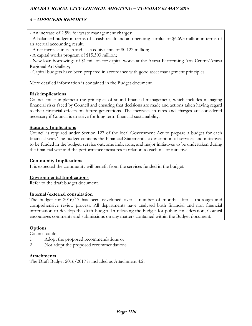# **4 – OFFICERS REPORTS**

- An increase of 2.5% for waste management charges;
- A balanced budget in terms of a cash result and an operating surplus of \$6.693 million in terms of an accrual accounting result;
- A net increase in cash and cash equivalents of \$0.122 million;
- A capital works program of \$15.303 million;

- New loan borrowings of \$1 million for capital works at the Ararat Performing Arts Centre/Ararat Regional Art Gallery;

- Capital budgets have been prepared in accordance with good asset management principles.

More detailed information is contained in the Budget document.

# **Risk implications**

Council must implement the principles of sound financial management, which includes managing financial risks faced by Council and ensuring that decisions are made and actions taken having regard to their financial effects on future generations. The increases in rates and charges are considered necessary if Council is to strive for long term financial sustainability.

# **Statutory Implications**

Council is required under Section 127 of the local Government Act to prepare a budget for each financial year. The budget contains the Financial Statements, a description of services and initiatives to be funded in the budget, service outcome indicators, and major initiatives to be undertaken during the financial year and the performance measures in relation to each major initiative.

# **Community Implications**

It is expected the community will benefit from the services funded in the budget.

# **Environmental Implications**

Refer to the draft budget document.

# **Internal/external consultation**

The budget for 2016/17 has been developed over a number of months after a thorough and comprehensive review process. All departments have analysed both financial and non financial information to develop the draft budget. In releasing the budget for public consideration, Council encourages comments and submissions on any matters contained within the Budget document.

# **Options**

Council could:

- 1 Adopt the proposed recommendations or
- 2 Not adopt the proposed recommendations.

# **Attachments**

The Draft Budget 2016/2017 is included as Attachment 4.2.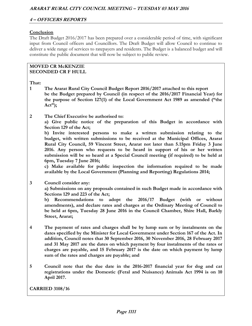#### **Conclusion**

The Draft Budget 2016/2017 has been prepared over a considerable period of time, with significant input from Council officers and Councillors. The Draft Budget will allow Council to continue to deliver a wide range of services to ratepayers and residents. The Budget is a balanced budget and will constitute the public document that will now be subject to public review.

#### **MOVED CR McKENZIE SECONDED CR F HULL**

**That:** 

- **1 The Ararat Rural City Council Budget Report 2016/2017 attached to this report be the Budget prepared by Council (in respect of the 2016/2017 Financial Year) for the purpose of Section 127(1) of the Local Government Act 1989 as amended ("the Act");**
- **2 The Chief Executive be authorised to:**

 **a) Give public notice of the preparation of this Budget in accordance with Section 129 of the Act;** 

 **b) Invite interested persons to make a written submission relating to the budget, with written submissions to be received at the Municipal Offices, Ararat Rural City Council, 59 Vincent Street, Ararat not later than 5.15pm Friday 3 June 2016. Any person who requests to be heard in support of his or her written submission will be so heard at a Special Council meeting (if required) to be held at 6pm, Tuesday 7 June 2016;** 

 **c) Make available for public inspection the information required to be made available by the Local Government (Planning and Reporting) Regulations 2014;** 

**3 Council consider any: a) Submissions on any proposals contained in such Budget made in accordance with Sections 129 and 223 of the Act;** 

 **b) Recommendations to adopt the 2016/17 Budget (with or without amendments), and declare rates and charges at the Ordinary Meeting of Council to be held at 6pm, Tuesday 28 June 2016 in the Council Chamber, Shire Hall, Barkly Street, Ararat;** 

- **4 The payment of rates and charges shall be by lump sum or by instalments on the dates specified by the Minister for Local Government under Section 167 of the Act. In addition, Council notes that 30 September 2016, 30 November 2016, 28 February 2017 and 31 May 2017 are the dates on which payment by four instalments of the rates or charges are payable, and 15 February 2017 is the date on which payment by lump sum of the rates and charges are payable; and**
- **5 Council note that the due date in the 2016-2017 financial year for dog and cat registrations under the Domestic (Feral and Nuisance) Animals Act 1994 is on 10 April 2017.**

**CARRIED 3108/16**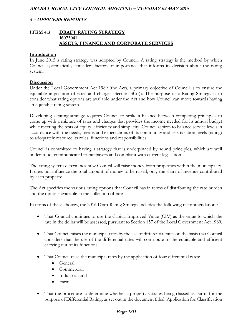# **ITEM 4.3 DRAFT RATING STRATEGY 16073041 ASSETS, FINANCE AND CORPORATE SERVICES**

#### **Introduction**

In June 2015 a rating strategy was adopted by Council. A rating strategy is the method by which Council systematically considers factors of importance that informs its decision about the rating system.

#### **Discussion**

Under the Local Government Act 1989 (the Act), a primary objective of Council is to ensure the equitable imposition of rates and charges (Section 3C(f)). The purpose of a Rating Strategy is to consider what rating options are available under the Act and how Council can move towards having an equitable rating system.

Developing a rating strategy requires Council to strike a balance between competing principles to come up with a mixture of rates and charges that provides the income needed for its annual budget while meeting the tests of equity, efficiency and simplicity. Council aspires to balance service levels in accordance with the needs, means and expectations of its community and sets taxation levels (rating) to adequately resource its roles, functions and responsibilities.

Council is committed to having a strategy that is underpinned by sound principles, which are well understood, communicated to ratepayers and compliant with current legislation.

The rating system determines how Council will raise money from properties within the municipality. It does not influence the total amount of money to be raised, only the share of revenue contributed by each property.

The Act specifies the various rating options that Council has in terms of distributing the rate burden and the options available in the collection of rates.

In terms of these choices, the 2016 Draft Rating Strategy includes the following recommendations:

- That Council continues to use the Capital Improved Value (CIV) as the value to which the rate in the dollar will be assessed, pursuant to Section 157 of the Local Government Act 1989.
- That Council raises the municipal rates by the use of differential rates on the basis that Council considers that the use of the differential rates will contribute to the equitable and efficient carrying out of its functions.
- That Council raise the municipal rates by the application of four differential rates:
	- General;
	- Commercial;
	- Industrial; and
	- Farm.
- That the procedure to determine whether a property satisfies being classed as Farm, for the purpose of Differential Rating, as set out in the document titled 'Application for Classification

# **Page 1211**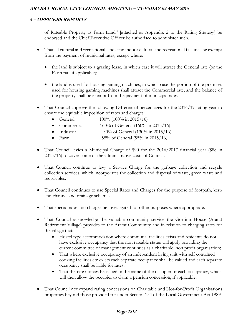of Rateable Property as Farm Land" [attached as Appendix 2 to the Rating Strategy] be endorsed and the Chief Executive Officer be authorised to administer such.

- That all cultural and recreational lands and indoor cultural and recreational facilities be exempt from the payment of municipal rates, except where:
	- the land is subject to a grazing lease, in which case it will attract the General rate (or the Farm rate if applicable);
	- the land is used for housing gaming machines, in which case the portion of the premises used for housing gaming machines shall attract the Commercial rate, and the balance of the property shall be exempt from the payment of municipal rates
- That Council approve the following Differential percentages for the 2016/17 rating year to ensure the equitable imposition of rates and charges:
	- General  $100\% (100\% \text{ in } 2015/16)$
	- Commercial  $160\%$  of General (160% in 2015/16)
	- Industrial  $130\%$  of General  $(130\%$  in  $2015/16)$
	- Farm  $55\%$  of General  $(55\%$  in  $2015/16)$
- That Council levies a Municipal Charge of \$90 for the 2016/2017 financial year (\$88 in 2015/16) to cover some of the administrative costs of Council.
- That Council continue to levy a Service Charge for the garbage collection and recycle collection services, which incorporates the collection and disposal of waste, green waste and recyclables.
- That Council continues to use Special Rates and Charges for the purpose of footpath, kerb and channel and drainage schemes.
- That special rates and charges be investigated for other purposes where appropriate.
- That Council acknowledge the valuable community service the Gorrinn House (Ararat Retirement Village) provides to the Ararat Community and in relation to charging rates for the village that:
	- Hostel type accommodation where communal facilities exists and residents do not have exclusive occupancy that the non rateable status will apply providing the current committee of management continues as a charitable, non profit organisation;
	- That where exclusive occupancy of an independent living unit with self contained cooking facilities etc exists each separate occupancy shall be valued and each separate occupancy shall be liable for rates;
	- That the rate notices be issued in the name of the occupier of each occupancy, which will then allow the occupier to claim a pension concession, if applicable.
- That Council not expand rating concessions on Charitable and Not-for-Profit Organisations properties beyond those provided for under Section 154 of the Local Government Act 1989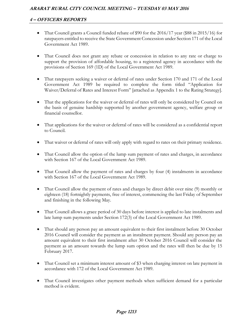# **4 – OFFICERS REPORTS**

- That Council grants a Council funded rebate of \$90 for the 2016/17 year (\$88 in 2015/16) for ratepayers entitled to receive the State Government Concession under Section 171 of the Local Government Act 1989.
- That Council does not grant any rebate or concession in relation to any rate or charge to support the provision of affordable housing, to a registered agency in accordance with the provisions of Section 169 (1D) of the Local Government Act 1989.
- That ratepayers seeking a waiver or deferral of rates under Section 170 and 171 of the Local Government Act 1989 be required to complete the form titled "Application for Waiver/Deferral of Rates and Interest Form" [attached as Appendix 1 to the Rating Strategy].
- That the applications for the waiver or deferral of rates will only be considered by Council on the basis of genuine hardship supported by another government agency, welfare group or financial counsellor.
- That applications for the waiver or deferral of rates will be considered as a confidential report to Council.
- That waiver or deferral of rates will only apply with regard to rates on their primary residence.
- That Council allow the option of the lump sum payment of rates and charges, in accordance with Section 167 of the Local Government Act 1989.
- That Council allow the payment of rates and charges by four (4) instalments in accordance with Section 167 of the Local Government Act 1989.
- That Council allow the payment of rates and charges by direct debit over nine (9) monthly or eighteen (18) fortnightly payments, free of interest, commencing the last Friday of September and finishing in the following May.
- That Council allows a grace period of 30 days before interest is applied to late instalments and late lump sum payments under Section 172(3) of the Local Government Act 1989.
- That should any person pay an amount equivalent to their first instalment before 30 October 2016 Council will consider the payment as an instalment payment. Should any person pay an amount equivalent to their first instalment after 30 October 2016 Council will consider the payment as an amount towards the lump sum option and the rates will then be due by 15 February 2017.
- That Council set a minimum interest amount of \$3 when charging interest on late payment in accordance with 172 of the Local Government Act 1989.
- That Council investigates other payment methods when sufficient demand for a particular method is evident.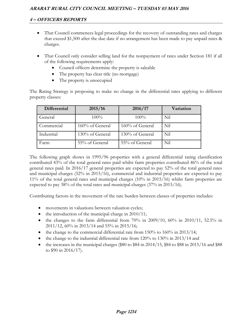- That Council commences legal proceedings for the recovery of outstanding rates and charges that exceed \$1,500 after the due date if no arrangement has been made to pay unpaid rates & charges.
- That Council only consider selling land for the nonpayment of rates under Section 181 if all of the following requirements apply:
	- Council officers determine the property is saleable
	- The property has clear title (no mortgage)
	- The property is unoccupied

The Rating Strategy is proposing to make no change in the differential rates applying to different property classes:

| Differential | 2015/16         | 2016/17         | Variation |
|--------------|-----------------|-----------------|-----------|
| General      | 100%            | 100%            | Nil       |
| Commercial   | 160% of General | 160% of General | Nil       |
| Industrial   | 130% of General | 130% of General | Nil       |
| Farm         | 55% of General  | 55% of General  | Nil       |

The following graph shows in 1995/96 properties with a general differential rating classification contributed 43% of the total general rates paid whilst farm properties contributed 46% of the total general rates paid. In 2016/17 general properties are expected to pay 52% of the total general rates and municipal charges (52% in 2015/16), commercial and industrial properties are expected to pay 11% of the total general rates and municipal charges (10% in 2015/16) whilst farm properties are expected to pay 38% of the total rates and municipal charges (37% in 2015/16).

Contributing factors in the movement of the rate burden between classes of properties includes:

- movements in valuations between valuation cycles;
- $\bullet$  the introduction of the municipal charge in 2010/11;
- the changes to the farm differential from  $70\%$  in  $2009/10$ ,  $60\%$  in  $2010/11$ , 52.5% in 2011/12, 60% in 2013/14 and 55% in 2015/16;
- the change to the commercial differential rate from  $150\%$  to  $160\%$  in  $2013/14$ ;
- $\bullet$  the change to the industrial differential rate from 120% to 130% in 2013/14 and
- $\bullet$  the increases in the municipal charges (\$80 to \$84 in 2014/15, \$84 to \$88 in 2015/16 and \$88 to \$90 in 2016/17).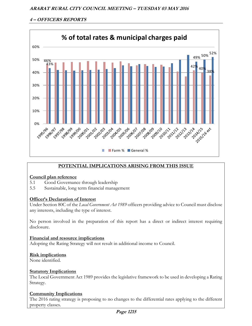

# **POTENTIAL IMPLICATIONS ARISING FROM THIS ISSUE**

# **Council plan reference**

- 5.1 Good Governance through leadership
- 5.5 Sustainable, long term financial management

# **Officer's Declaration of Interest**

Under Section 80C of the *Local Government Act 1989* officers providing advice to Council must disclose any interests, including the type of interest.

No person involved in the preparation of this report has a direct or indirect interest requiring disclosure.

**Financial and resource implications**  Adopting the Rating Strategy will not result in additional income to Council.

#### **Risk implications**

None identified.

# **Statutory Implications**

The Local Government Act 1989 provides the legislative framework to be used in developing a Rating Strategy.

# **Community Implications**

The 2016 rating strategy is proposing to no changes to the differential rates applying to the different property classes.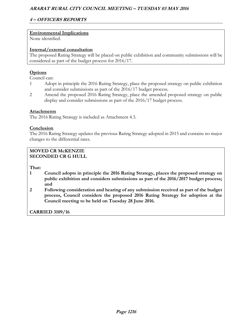# **4 – OFFICERS REPORTS**

# **Environmental Implications**

None identified.

# **Internal/external consultation**

The proposed Rating Strategy will be placed on public exhibition and community submissions will be considered as part of the budget process for 2016/17.

# **Options**

Council can:

- 1 Adopt in principle the 2016 Rating Strategy, place the proposed strategy on public exhibition and consider submissions as part of the 2016/17 budget process.
- 2 Amend the proposed 2016 Rating Strategy, place the amended proposed strategy on public display and consider submissions as part of the 2016/17 budget process.

#### **Attachments**

The 2016 Rating Strategy is included as Attachment 4.3.

# **Conclusion**

The 2016 Rating Strategy updates the previous Rating Strategy adopted in 2015 and contains no major changes to the differential rates.

#### **MOVED CR McKENZIE SECONDED CR G HULL**

**That:** 

- **1 Council adopts in principle the 2016 Rating Strategy, places the proposed strategy on public exhibition and considers submissions as part of the 2016/2017 budget process; and**
- **2 Following consideration and hearing of any submission received as part of the budget process, Council considers the proposed 2016 Rating Strategy for adoption at the Council meeting to be held on Tuesday 28 June 2016.**

**CARRIED 3109/16**